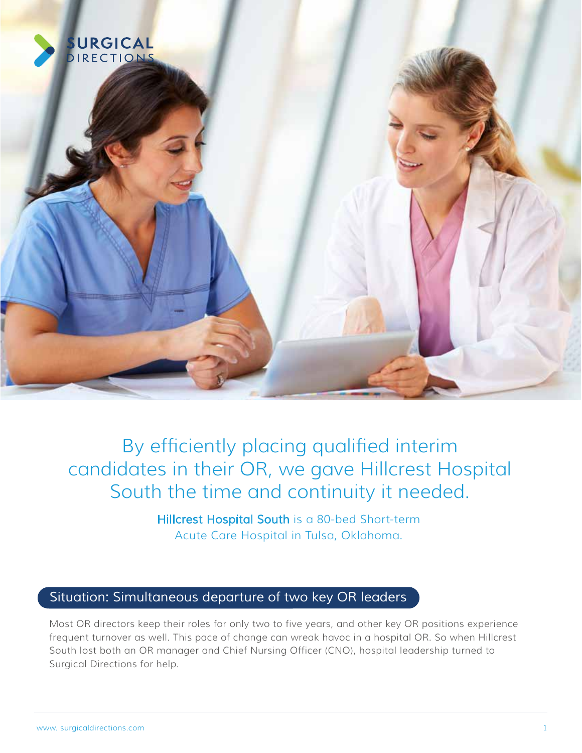

By efficiently placing qualified interim candidates in their OR, we gave Hillcrest Hospital South the time and continuity it needed.

> Hillcrest Hospital South is a 80-bed Short-term Acute Care Hospital in Tulsa, Oklahoma.

## *Situation: Simultaneous departure of two key OR leaders*

Most OR directors keep their roles for only two to five years, and other key OR positions experience frequent turnover as well. This pace of change can wreak havoc in a hospital OR. So when Hillcrest South lost both an OR manager and Chief Nursing Officer (CNO), hospital leadership turned to Surgical Directions for help.